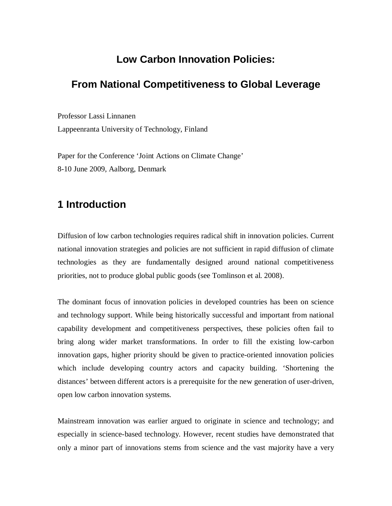## **Low Carbon Innovation Policies:**

## **From National Competitiveness to Global Leverage**

Professor Lassi Linnanen Lappeenranta University of Technology, Finland

Paper for the Conference 'Joint Actions on Climate Change' 8-10 June 2009, Aalborg, Denmark

# **1 Introduction**

Diffusion of low carbon technologies requires radical shift in innovation policies. Current national innovation strategies and policies are not sufficient in rapid diffusion of climate technologies as they are fundamentally designed around national competitiveness priorities, not to produce global public goods (see Tomlinson et al. 2008).

The dominant focus of innovation policies in developed countries has been on science and technology support. While being historically successful and important from national capability development and competitiveness perspectives, these policies often fail to bring along wider market transformations. In order to fill the existing low-carbon innovation gaps, higher priority should be given to practice-oriented innovation policies which include developing country actors and capacity building. 'Shortening the distances' between different actors is a prerequisite for the new generation of user-driven, open low carbon innovation systems.

Mainstream innovation was earlier argued to originate in science and technology; and especially in science-based technology. However, recent studies have demonstrated that only a minor part of innovations stems from science and the vast majority have a very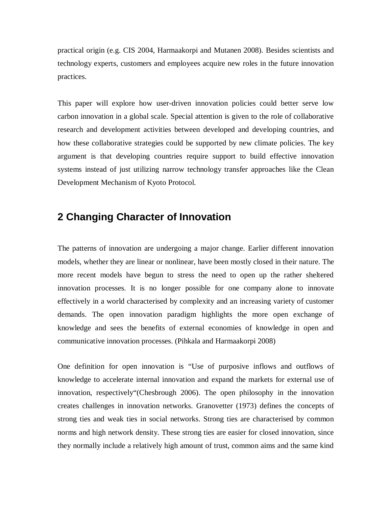practical origin (e.g. CIS 2004, Harmaakorpi and Mutanen 2008). Besides scientists and technology experts, customers and employees acquire new roles in the future innovation practices.

This paper will explore how user-driven innovation policies could better serve low carbon innovation in a global scale. Special attention is given to the role of collaborative research and development activities between developed and developing countries, and how these collaborative strategies could be supported by new climate policies. The key argument is that developing countries require support to build effective innovation systems instead of just utilizing narrow technology transfer approaches like the Clean Development Mechanism of Kyoto Protocol.

## **2 Changing Character of Innovation**

The patterns of innovation are undergoing a major change. Earlier different innovation models, whether they are linear or nonlinear, have been mostly closed in their nature. The more recent models have begun to stress the need to open up the rather sheltered innovation processes. It is no longer possible for one company alone to innovate effectively in a world characterised by complexity and an increasing variety of customer demands. The open innovation paradigm highlights the more open exchange of knowledge and sees the benefits of external economies of knowledge in open and communicative innovation processes. (Pihkala and Harmaakorpi 2008)

One definition for open innovation is "Use of purposive inflows and outflows of knowledge to accelerate internal innovation and expand the markets for external use of innovation, respectively"(Chesbrough 2006). The open philosophy in the innovation creates challenges in innovation networks. Granovetter (1973) defines the concepts of strong ties and weak ties in social networks. Strong ties are characterised by common norms and high network density. These strong ties are easier for closed innovation, since they normally include a relatively high amount of trust, common aims and the same kind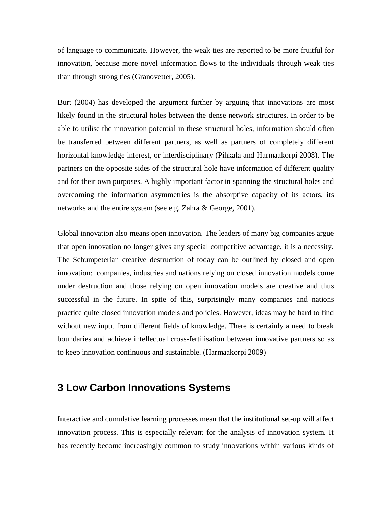of language to communicate. However, the weak ties are reported to be more fruitful for innovation, because more novel information flows to the individuals through weak ties than through strong ties (Granovetter, 2005).

Burt (2004) has developed the argument further by arguing that innovations are most likely found in the structural holes between the dense network structures. In order to be able to utilise the innovation potential in these structural holes, information should often be transferred between different partners, as well as partners of completely different horizontal knowledge interest, or interdisciplinary (Pihkala and Harmaakorpi 2008). The partners on the opposite sides of the structural hole have information of different quality and for their own purposes. A highly important factor in spanning the structural holes and overcoming the information asymmetries is the absorptive capacity of its actors, its networks and the entire system (see e.g. Zahra & George, 2001).

Global innovation also means open innovation. The leaders of many big companies argue that open innovation no longer gives any special competitive advantage, it is a necessity. The Schumpeterian creative destruction of today can be outlined by closed and open innovation: companies, industries and nations relying on closed innovation models come under destruction and those relying on open innovation models are creative and thus successful in the future. In spite of this, surprisingly many companies and nations practice quite closed innovation models and policies. However, ideas may be hard to find without new input from different fields of knowledge. There is certainly a need to break boundaries and achieve intellectual cross-fertilisation between innovative partners so as to keep innovation continuous and sustainable. (Harmaakorpi 2009)

## **3 Low Carbon Innovations Systems**

Interactive and cumulative learning processes mean that the institutional set-up will affect innovation process. This is especially relevant for the analysis of innovation system. It has recently become increasingly common to study innovations within various kinds of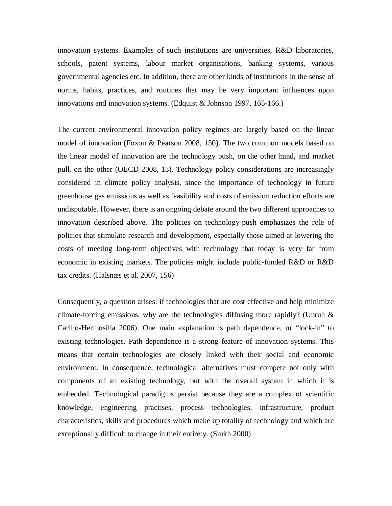innovation systems. Examples of such institutions are universities, R&D laboratories, schools, patent systems, labour market organisations, banking systems, various governmental agencies etc. In addition, there are other kinds of institutions in the sense of norms, habits, practices, and routines that may be very important influences upon innovations and innovation systems. (Edquist & Johnson 1997, 165-166.)

The current environmental innovation policy regimes are largely based on the linear model of innovation (Foxon & Pearson 2008, 150). The two common models based on the linear model of innovation are the technology push, on the other hand, and market pull, on the other (OECD 2008, 13). Technology policy considerations are increasingly considered in climate policy analysis, since the importance of technology in future greenhouse gas emissions as well as feasibility and costs of emission reduction efforts are undisputable. However, there is an ongoing debate around the two different approaches to innovation described above. The policies on technology-push emphasizes the role of policies that stimulate research and development, especially those aimed at lowering the costs of meeting long-term objectives with technology that today is very far from economic in existing markets. The policies might include public-funded R&D or R&D tax credits. (Halsnæs et al. 2007, 156)

Consequently, a question arises: if technologies that are cost effective and help minimize climate-forcing emissions, why are the technologies diffusing more rapidly? (Unruh & Carillo-Hermosilla 2006). One main explanation is path dependence, or "lock-in" to existing technologies. Path dependence is a strong feature of innovation systems. This means that certain technologies are closely linked with their social and economic environment. In consequence, technological alternatives must compete not only with components of an existing technology, but with the overall system in which it is embedded. Technological paradigms persist because they are a complex of scientific knowledge, engineering practises, process technologies, infrastructure, product characteristics, skills and procedures which make up totality of technology and which are exceptionally difficult to change in their entirety. (Smith 2000)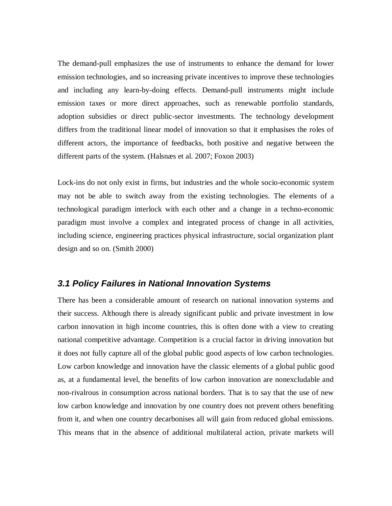The demand-pull emphasizes the use of instruments to enhance the demand for lower emission technologies, and so increasing private incentives to improve these technologies and including any learn-by-doing effects. Demand-pull instruments might include emission taxes or more direct approaches, such as renewable portfolio standards, adoption subsidies or direct public-sector investments. The technology development differs from the traditional linear model of innovation so that it emphasises the roles of different actors, the importance of feedbacks, both positive and negative between the different parts of the system. (Halsnæs et al. 2007; Foxon 2003)

Lock-ins do not only exist in firms, but industries and the whole socio-economic system may not be able to switch away from the existing technologies. The elements of a technological paradigm interlock with each other and a change in a techno-economic paradigm must involve a complex and integrated process of change in all activities, including science, engineering practices physical infrastructure, social organization plant design and so on. (Smith 2000)

#### *3.1 Policy Failures in National Innovation Systems*

There has been a considerable amount of research on national innovation systems and their success. Although there is already significant public and private investment in low carbon innovation in high income countries, this is often done with a view to creating national competitive advantage. Competition is a crucial factor in driving innovation but it does not fully capture all of the global public good aspects of low carbon technologies. Low carbon knowledge and innovation have the classic elements of a global public good as, at a fundamental level, the benefits of low carbon innovation are nonexcludable and non-rivalrous in consumption across national borders. That is to say that the use of new low carbon knowledge and innovation by one country does not prevent others benefiting from it, and when one country decarbonises all will gain from reduced global emissions. This means that in the absence of additional multilateral action, private markets will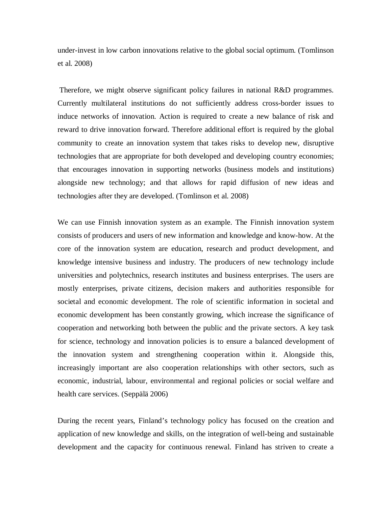under-invest in low carbon innovations relative to the global social optimum. (Tomlinson et al. 2008)

 Therefore, we might observe significant policy failures in national R&D programmes. Currently multilateral institutions do not sufficiently address cross-border issues to induce networks of innovation. Action is required to create a new balance of risk and reward to drive innovation forward. Therefore additional effort is required by the global community to create an innovation system that takes risks to develop new, disruptive technologies that are appropriate for both developed and developing country economies; that encourages innovation in supporting networks (business models and institutions) alongside new technology; and that allows for rapid diffusion of new ideas and technologies after they are developed. (Tomlinson et al. 2008)

We can use Finnish innovation system as an example. The Finnish innovation system consists of producers and users of new information and knowledge and know-how. At the core of the innovation system are education, research and product development, and knowledge intensive business and industry. The producers of new technology include universities and polytechnics, research institutes and business enterprises. The users are mostly enterprises, private citizens, decision makers and authorities responsible for societal and economic development. The role of scientific information in societal and economic development has been constantly growing, which increase the significance of cooperation and networking both between the public and the private sectors. A key task for science, technology and innovation policies is to ensure a balanced development of the innovation system and strengthening cooperation within it. Alongside this, increasingly important are also cooperation relationships with other sectors, such as economic, industrial, labour, environmental and regional policies or social welfare and health care services. (Seppälä 2006)

During the recent years, Finland's technology policy has focused on the creation and application of new knowledge and skills, on the integration of well-being and sustainable development and the capacity for continuous renewal. Finland has striven to create a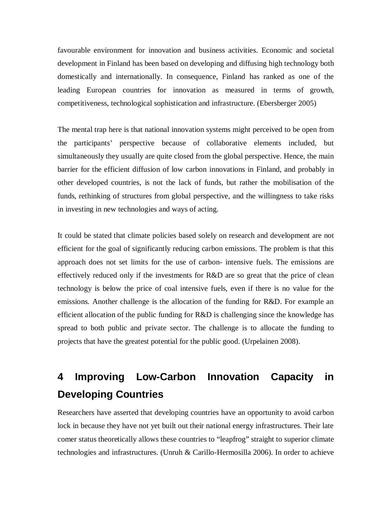favourable environment for innovation and business activities. Economic and societal development in Finland has been based on developing and diffusing high technology both domestically and internationally. In consequence, Finland has ranked as one of the leading European countries for innovation as measured in terms of growth, competitiveness, technological sophistication and infrastructure. (Ebersberger 2005)

The mental trap here is that national innovation systems might perceived to be open from the participants' perspective because of collaborative elements included, but simultaneously they usually are quite closed from the global perspective. Hence, the main barrier for the efficient diffusion of low carbon innovations in Finland, and probably in other developed countries, is not the lack of funds, but rather the mobilisation of the funds, rethinking of structures from global perspective, and the willingness to take risks in investing in new technologies and ways of acting.

It could be stated that climate policies based solely on research and development are not efficient for the goal of significantly reducing carbon emissions. The problem is that this approach does not set limits for the use of carbon- intensive fuels. The emissions are effectively reduced only if the investments for R&D are so great that the price of clean technology is below the price of coal intensive fuels, even if there is no value for the emissions. Another challenge is the allocation of the funding for R&D. For example an efficient allocation of the public funding for R&D is challenging since the knowledge has spread to both public and private sector. The challenge is to allocate the funding to projects that have the greatest potential for the public good. (Urpelainen 2008).

# **4 Improving Low-Carbon Innovation Capacity in Developing Countries**

Researchers have asserted that developing countries have an opportunity to avoid carbon lock in because they have not yet built out their national energy infrastructures. Their late comer status theoretically allows these countries to "leapfrog" straight to superior climate technologies and infrastructures. (Unruh & Carillo-Hermosilla 2006). In order to achieve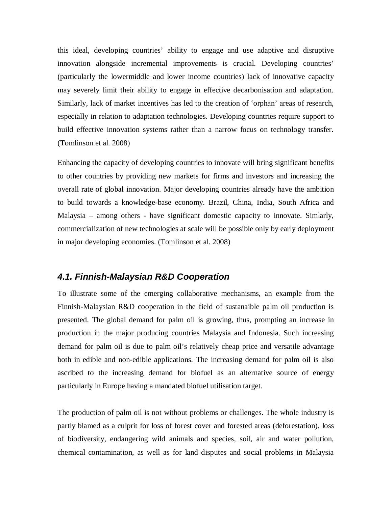this ideal, developing countries' ability to engage and use adaptive and disruptive innovation alongside incremental improvements is crucial. Developing countries' (particularly the lowermiddle and lower income countries) lack of innovative capacity may severely limit their ability to engage in effective decarbonisation and adaptation. Similarly, lack of market incentives has led to the creation of 'orphan' areas of research, especially in relation to adaptation technologies. Developing countries require support to build effective innovation systems rather than a narrow focus on technology transfer. (Tomlinson et al. 2008)

Enhancing the capacity of developing countries to innovate will bring significant benefits to other countries by providing new markets for firms and investors and increasing the overall rate of global innovation. Major developing countries already have the ambition to build towards a knowledge-base economy. Brazil, China, India, South Africa and Malaysia – among others - have significant domestic capacity to innovate. Simlarly, commercialization of new technologies at scale will be possible only by early deployment in major developing economies. (Tomlinson et al. 2008)

#### *4.1. Finnish-Malaysian R&D Cooperation*

To illustrate some of the emerging collaborative mechanisms, an example from the Finnish-Malaysian R&D cooperation in the field of sustanaible palm oil production is presented. The global demand for palm oil is growing, thus, prompting an increase in production in the major producing countries Malaysia and Indonesia. Such increasing demand for palm oil is due to palm oil's relatively cheap price and versatile advantage both in edible and non-edible applications. The increasing demand for palm oil is also ascribed to the increasing demand for biofuel as an alternative source of energy particularly in Europe having a mandated biofuel utilisation target.

The production of palm oil is not without problems or challenges. The whole industry is partly blamed as a culprit for loss of forest cover and forested areas (deforestation), loss of biodiversity, endangering wild animals and species, soil, air and water pollution, chemical contamination, as well as for land disputes and social problems in Malaysia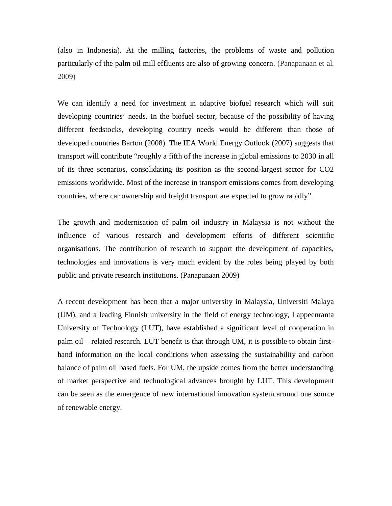(also in Indonesia). At the milling factories, the problems of waste and pollution particularly of the palm oil mill effluents are also of growing concern. (Panapanaan et al. 2009)

We can identify a need for investment in adaptive biofuel research which will suit developing countries' needs. In the biofuel sector, because of the possibility of having different feedstocks, developing country needs would be different than those of developed countries Barton (2008). The IEA World Energy Outlook (2007) suggests that transport will contribute "roughly a fifth of the increase in global emissions to 2030 in all of its three scenarios, consolidating its position as the second-largest sector for CO2 emissions worldwide. Most of the increase in transport emissions comes from developing countries, where car ownership and freight transport are expected to grow rapidly".

The growth and modernisation of palm oil industry in Malaysia is not without the influence of various research and development efforts of different scientific organisations. The contribution of research to support the development of capacities, technologies and innovations is very much evident by the roles being played by both public and private research institutions. (Panapanaan 2009)

A recent development has been that a major university in Malaysia, Universiti Malaya (UM), and a leading Finnish university in the field of energy technology, Lappeenranta University of Technology (LUT), have established a significant level of cooperation in palm oil – related research. LUT benefit is that through UM, it is possible to obtain firsthand information on the local conditions when assessing the sustainability and carbon balance of palm oil based fuels. For UM, the upside comes from the better understanding of market perspective and technological advances brought by LUT. This development can be seen as the emergence of new international innovation system around one source of renewable energy.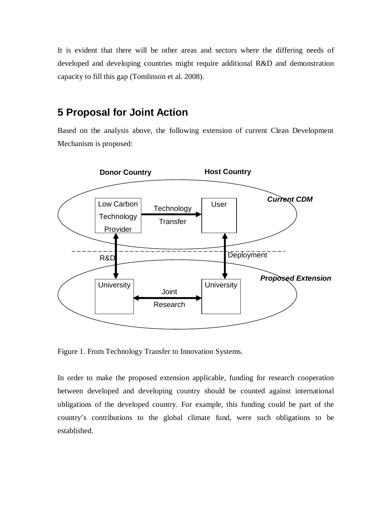It is evident that there will be other areas and sectors where the differing needs of developed and developing countries might require additional R&D and demonstration capacity to fill this gap (Tomlinson et al. 2008).

### **5 Proposal for Joint Action**

Based on the analysis above, the following extension of current Clean Development Mechanism is proposed:



Figure 1. From Technology Transfer to Innovation Systems.

In order to make the proposed extension applicable, funding for research cooperation between developed and developing country should be counted against international obligations of the developed country. For example, this funding could be part of the country's contributions to the global climate fund, were such obligations to be established.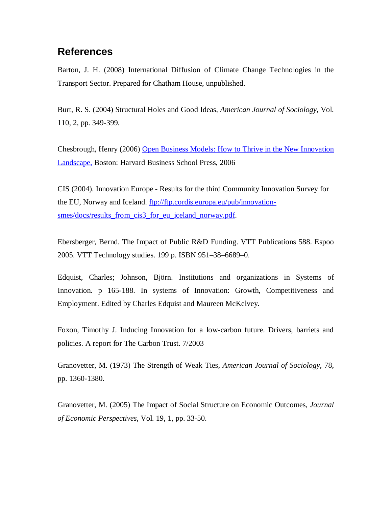# **References**

Barton, J. H. (2008) International Diffusion of Climate Change Technologies in the Transport Sector. Prepared for Chatham House, unpublished.

Burt, R. S. (2004) Structural Holes and Good Ideas, *American Journal of Sociology*, Vol. 110, 2, pp. 349-399.

Chesbrough, Henry (2006) Open Business Models: How to Thrive in the New Innovation Landscape, Boston: Harvard Business School Press, 2006

CIS (2004). Innovation Europe - Results for the third Community Innovation Survey for the EU, Norway and Iceland. [ftp://ftp.cordis.europa.eu/pub/innovation](ftp://ftp.cordis.europa.eu/pub/innovation-)smes/docs/results\_from\_cis3\_for\_eu\_iceland\_norway.pdf.

Ebersberger, Bernd. The Impact of Public R&D Funding. VTT Publications 588. Espoo 2005. VTT Technology studies. 199 p. ISBN 951–38–6689–0.

Edquist, Charles; Johnson, Björn. Institutions and organizations in Systems of Innovation. p 165-188. In systems of Innovation: Growth, Competitiveness and Employment. Edited by Charles Edquist and Maureen McKelvey.

Foxon, Timothy J. Inducing Innovation for a low-carbon future. Drivers, barriets and policies. A report for The Carbon Trust. 7/2003

Granovetter, M. (1973) The Strength of Weak Ties, *American Journal of Sociology,* 78, pp. 1360-1380.

Granovetter, M. (2005) The Impact of Social Structure on Economic Outcomes, *Journal of Economic Perspectives,* Vol. 19, 1, pp. 33-50.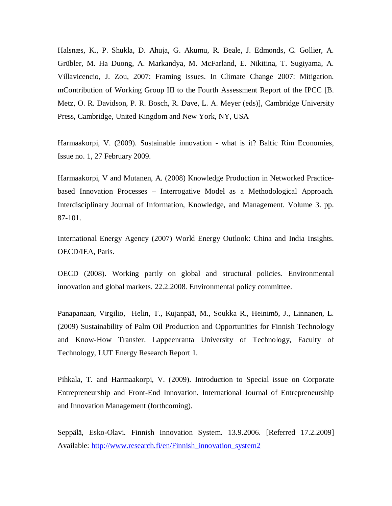Halsnæs, K., P. Shukla, D. Ahuja, G. Akumu, R. Beale, J. Edmonds, C. Gollier, A. Grübler, M. Ha Duong, A. Markandya, M. McFarland, E. Nikitina, T. Sugiyama, A. Villavicencio, J. Zou, 2007: Framing issues. In Climate Change 2007: Mitigation. mContribution of Working Group III to the Fourth Assessment Report of the IPCC [B. Metz, O. R. Davidson, P. R. Bosch, R. Dave, L. A. Meyer (eds)], Cambridge University Press, Cambridge, United Kingdom and New York, NY, USA

Harmaakorpi, V. (2009). Sustainable innovation - what is it? Baltic Rim Economies, Issue no. 1, 27 February 2009.

Harmaakorpi, V and Mutanen, A. (2008) Knowledge Production in Networked Practicebased Innovation Processes – Interrogative Model as a Methodological Approach. Interdisciplinary Journal of Information, Knowledge, and Management. Volume 3. pp. 87-101.

International Energy Agency (2007) World Energy Outlook: China and India Insights. OECD/IEA, Paris.

OECD (2008). Working partly on global and structural policies. Environmental innovation and global markets. 22.2.2008. Environmental policy committee.

Panapanaan, Virgilio, Helin, T., Kujanpää, M., Soukka R., Heinimö, J., Linnanen, L. (2009) Sustainability of Palm Oil Production and Opportunities for Finnish Technology and Know-How Transfer. Lappeenranta University of Technology, Faculty of Technology, LUT Energy Research Report 1.

Pihkala, T. and Harmaakorpi, V. (2009). Introduction to Special issue on Corporate Entrepreneurship and Front-End Innovation. International Journal of Entrepreneurship and Innovation Management (forthcoming).

Seppälä, Esko-Olavi. Finnish Innovation System. 13.9.2006. [Referred 17.2.2009] Available: [http://www.research.fi/en/Finnish\\_innovation\\_system2](http://www.research.fi/en/Finnish_innovation_system2)